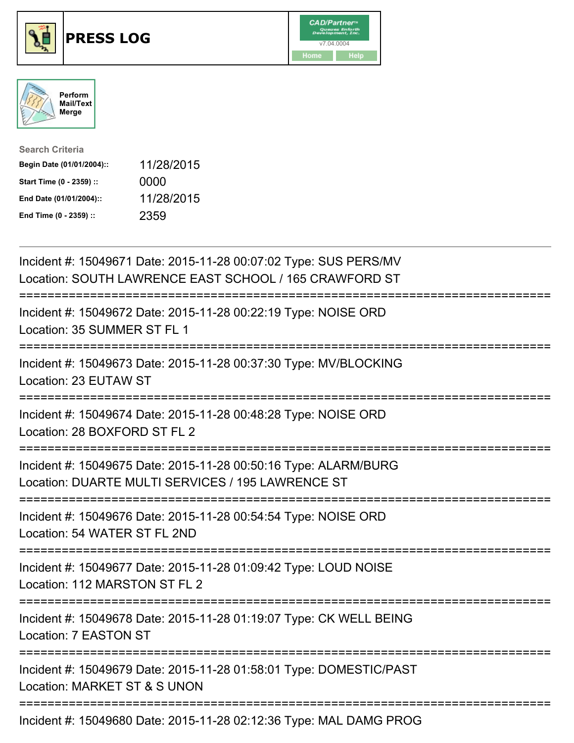





| <b>Search Criteria</b>    |            |
|---------------------------|------------|
| Begin Date (01/01/2004):: | 11/28/2015 |
| Start Time (0 - 2359) ::  | 0000       |
| End Date (01/01/2004)::   | 11/28/2015 |
| End Time (0 - 2359) ::    | 2359       |

| Incident #: 15049671 Date: 2015-11-28 00:07:02 Type: SUS PERS/MV<br>Location: SOUTH LAWRENCE EAST SCHOOL / 165 CRAWFORD ST                             |
|--------------------------------------------------------------------------------------------------------------------------------------------------------|
| Incident #: 15049672 Date: 2015-11-28 00:22:19 Type: NOISE ORD<br>Location: 35 SUMMER ST FL 1                                                          |
| Incident #: 15049673 Date: 2015-11-28 00:37:30 Type: MV/BLOCKING<br>Location: 23 EUTAW ST                                                              |
| Incident #: 15049674 Date: 2015-11-28 00:48:28 Type: NOISE ORD<br>Location: 28 BOXFORD ST FL 2                                                         |
| Incident #: 15049675 Date: 2015-11-28 00:50:16 Type: ALARM/BURG<br>Location: DUARTE MULTI SERVICES / 195 LAWRENCE ST<br>============================== |
| Incident #: 15049676 Date: 2015-11-28 00:54:54 Type: NOISE ORD<br>Location: 54 WATER ST FL 2ND                                                         |
| Incident #: 15049677 Date: 2015-11-28 01:09:42 Type: LOUD NOISE<br>Location: 112 MARSTON ST FL 2                                                       |
| =====================<br>Incident #: 15049678 Date: 2015-11-28 01:19:07 Type: CK WELL BEING<br>Location: 7 EASTON ST                                   |
| Incident #: 15049679 Date: 2015-11-28 01:58:01 Type: DOMESTIC/PAST<br>Location: MARKET ST & S UNON                                                     |
| Incident #: 15049680 Date: 2015-11-28 02:12:36 Type: MAL DAMG PROG                                                                                     |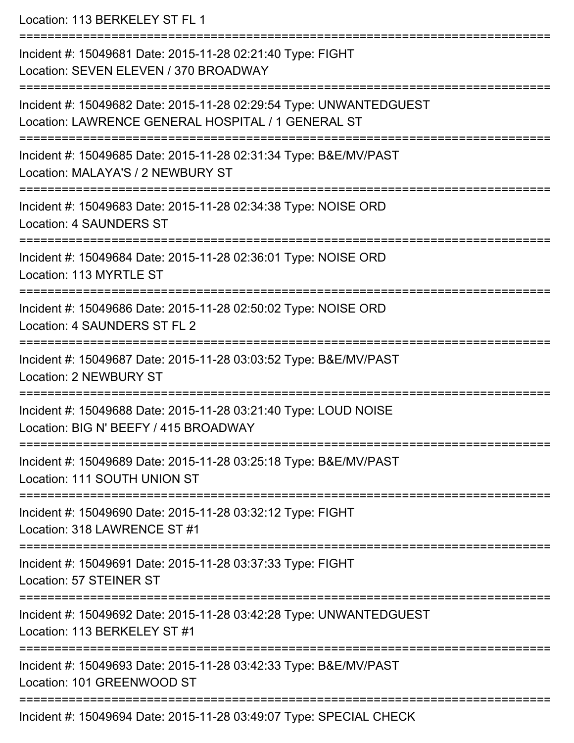Location: 113 BERKELEY ST FL 1 =========================================================================== Incident #: 15049681 Date: 2015-11-28 02:21:40 Type: FIGHT Location: SEVEN ELEVEN / 370 BROADWAY =========================================================================== Incident #: 15049682 Date: 2015-11-28 02:29:54 Type: UNWANTEDGUEST Location: LAWRENCE GENERAL HOSPITAL / 1 GENERAL ST =========================================================================== Incident #: 15049685 Date: 2015-11-28 02:31:34 Type: B&E/MV/PAST Location: MALAYA'S / 2 NEWBURY ST =========================================================================== Incident #: 15049683 Date: 2015-11-28 02:34:38 Type: NOISE ORD Location: 4 SAUNDERS ST =========================================================================== Incident #: 15049684 Date: 2015-11-28 02:36:01 Type: NOISE ORD Location: 113 MYRTLE ST =========================================================================== Incident #: 15049686 Date: 2015-11-28 02:50:02 Type: NOISE ORD Location: 4 SAUNDERS ST FL 2 =========================================================================== Incident #: 15049687 Date: 2015-11-28 03:03:52 Type: B&E/MV/PAST Location: 2 NEWBURY ST =========================================================================== Incident #: 15049688 Date: 2015-11-28 03:21:40 Type: LOUD NOISE Location: BIG N' BEEFY / 415 BROADWAY =========================================================================== Incident #: 15049689 Date: 2015-11-28 03:25:18 Type: B&E/MV/PAST Location: 111 SOUTH UNION ST =========================================================================== Incident #: 15049690 Date: 2015-11-28 03:32:12 Type: FIGHT Location: 318 LAWRENCE ST #1 =========================================================================== Incident #: 15049691 Date: 2015-11-28 03:37:33 Type: FIGHT Location: 57 STEINER ST =========================================================================== Incident #: 15049692 Date: 2015-11-28 03:42:28 Type: UNWANTEDGUEST Location: 113 BERKELEY ST #1 =========================================================================== Incident #: 15049693 Date: 2015-11-28 03:42:33 Type: B&E/MV/PAST Location: 101 GREENWOOD ST =========================================================================== Incident #: 15049694 Date: 2015-11-28 03:49:07 Type: SPECIAL CHECK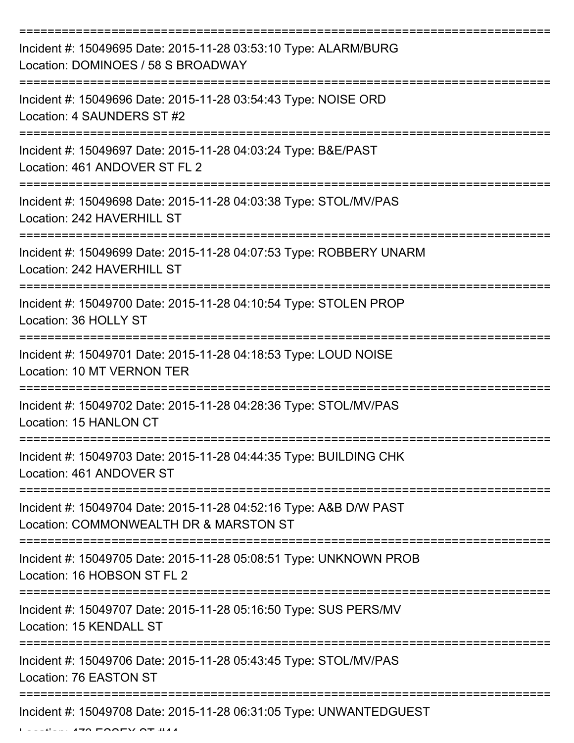| Incident #: 15049695 Date: 2015-11-28 03:53:10 Type: ALARM/BURG<br>Location: DOMINOES / 58 S BROADWAY       |
|-------------------------------------------------------------------------------------------------------------|
| Incident #: 15049696 Date: 2015-11-28 03:54:43 Type: NOISE ORD<br>Location: 4 SAUNDERS ST #2                |
| Incident #: 15049697 Date: 2015-11-28 04:03:24 Type: B&E/PAST<br>Location: 461 ANDOVER ST FL 2              |
| Incident #: 15049698 Date: 2015-11-28 04:03:38 Type: STOL/MV/PAS<br>Location: 242 HAVERHILL ST              |
| Incident #: 15049699 Date: 2015-11-28 04:07:53 Type: ROBBERY UNARM<br>Location: 242 HAVERHILL ST            |
| Incident #: 15049700 Date: 2015-11-28 04:10:54 Type: STOLEN PROP<br>Location: 36 HOLLY ST                   |
| Incident #: 15049701 Date: 2015-11-28 04:18:53 Type: LOUD NOISE<br>Location: 10 MT VERNON TER               |
| Incident #: 15049702 Date: 2015-11-28 04:28:36 Type: STOL/MV/PAS<br>Location: 15 HANLON CT                  |
| Incident #: 15049703 Date: 2015-11-28 04:44:35 Type: BUILDING CHK<br>Location: 461 ANDOVER ST               |
| Incident #: 15049704 Date: 2015-11-28 04:52:16 Type: A&B D/W PAST<br>Location: COMMONWEALTH DR & MARSTON ST |
| Incident #: 15049705 Date: 2015-11-28 05:08:51 Type: UNKNOWN PROB<br>Location: 16 HOBSON ST FL 2            |
| Incident #: 15049707 Date: 2015-11-28 05:16:50 Type: SUS PERS/MV<br>Location: 15 KENDALL ST                 |
| Incident #: 15049706 Date: 2015-11-28 05:43:45 Type: STOL/MV/PAS<br>Location: 76 EASTON ST                  |
| Incident #: 15049708 Date: 2015-11-28 06:31:05 Type: UNWANTEDGUEST                                          |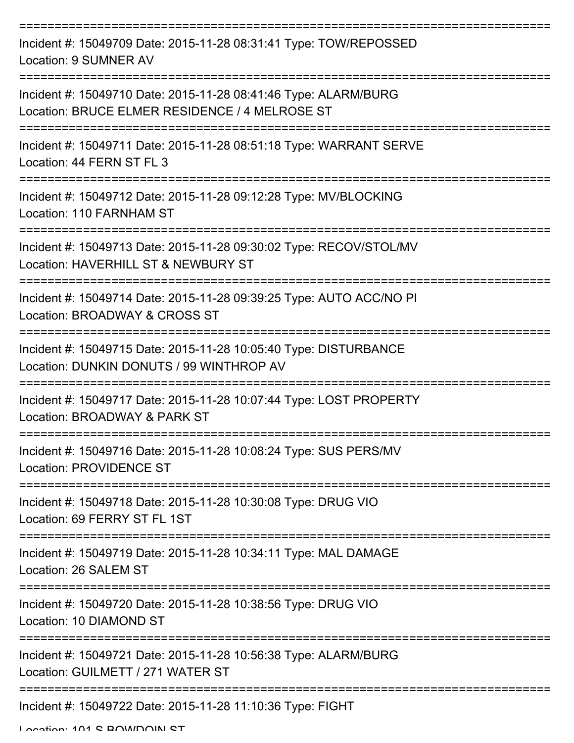| Incident #: 15049709 Date: 2015-11-28 08:31:41 Type: TOW/REPOSSED<br>Location: 9 SUMNER AV                        |
|-------------------------------------------------------------------------------------------------------------------|
| Incident #: 15049710 Date: 2015-11-28 08:41:46 Type: ALARM/BURG<br>Location: BRUCE ELMER RESIDENCE / 4 MELROSE ST |
| Incident #: 15049711 Date: 2015-11-28 08:51:18 Type: WARRANT SERVE<br>Location: 44 FERN ST FL 3                   |
| Incident #: 15049712 Date: 2015-11-28 09:12:28 Type: MV/BLOCKING<br>Location: 110 FARNHAM ST                      |
| Incident #: 15049713 Date: 2015-11-28 09:30:02 Type: RECOV/STOL/MV<br>Location: HAVERHILL ST & NEWBURY ST         |
| Incident #: 15049714 Date: 2015-11-28 09:39:25 Type: AUTO ACC/NO PI<br>Location: BROADWAY & CROSS ST              |
| Incident #: 15049715 Date: 2015-11-28 10:05:40 Type: DISTURBANCE<br>Location: DUNKIN DONUTS / 99 WINTHROP AV      |
| Incident #: 15049717 Date: 2015-11-28 10:07:44 Type: LOST PROPERTY<br>Location: BROADWAY & PARK ST                |
| Incident #: 15049716 Date: 2015-11-28 10:08:24 Type: SUS PERS/MV<br><b>Location: PROVIDENCE ST</b>                |
| Incident #: 15049718 Date: 2015-11-28 10:30:08 Type: DRUG VIO<br>Location: 69 FERRY ST FL 1ST                     |
| Incident #: 15049719 Date: 2015-11-28 10:34:11 Type: MAL DAMAGE<br>Location: 26 SALEM ST                          |
| Incident #: 15049720 Date: 2015-11-28 10:38:56 Type: DRUG VIO<br>Location: 10 DIAMOND ST                          |
| Incident #: 15049721 Date: 2015-11-28 10:56:38 Type: ALARM/BURG<br>Location: GUILMETT / 271 WATER ST              |
| Incident #: 15049722 Date: 2015-11-28 11:10:36 Type: FIGHT                                                        |

Location: 101 C BOWDOIN CT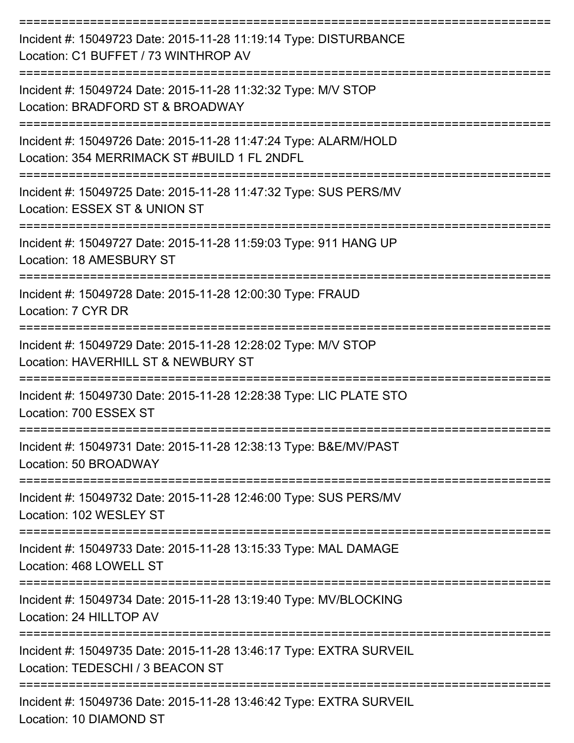| Incident #: 15049723 Date: 2015-11-28 11:19:14 Type: DISTURBANCE<br>Location: C1 BUFFET / 73 WINTHROP AV            |
|---------------------------------------------------------------------------------------------------------------------|
| Incident #: 15049724 Date: 2015-11-28 11:32:32 Type: M/V STOP<br>Location: BRADFORD ST & BROADWAY                   |
| Incident #: 15049726 Date: 2015-11-28 11:47:24 Type: ALARM/HOLD<br>Location: 354 MERRIMACK ST #BUILD 1 FL 2NDFL     |
| Incident #: 15049725 Date: 2015-11-28 11:47:32 Type: SUS PERS/MV<br>Location: ESSEX ST & UNION ST                   |
| Incident #: 15049727 Date: 2015-11-28 11:59:03 Type: 911 HANG UP<br>Location: 18 AMESBURY ST                        |
| Incident #: 15049728 Date: 2015-11-28 12:00:30 Type: FRAUD<br>Location: 7 CYR DR                                    |
| Incident #: 15049729 Date: 2015-11-28 12:28:02 Type: M/V STOP<br>Location: HAVERHILL ST & NEWBURY ST                |
| Incident #: 15049730 Date: 2015-11-28 12:28:38 Type: LIC PLATE STO<br>Location: 700 ESSEX ST                        |
| Incident #: 15049731 Date: 2015-11-28 12:38:13 Type: B&E/MV/PAST<br>Location: 50 BROADWAY<br>====================== |
| Incident #: 15049732 Date: 2015-11-28 12:46:00 Type: SUS PERS/MV<br>Location: 102 WESLEY ST                         |
| Incident #: 15049733 Date: 2015-11-28 13:15:33 Type: MAL DAMAGE<br>Location: 468 LOWELL ST                          |
| Incident #: 15049734 Date: 2015-11-28 13:19:40 Type: MV/BLOCKING<br>Location: 24 HILLTOP AV                         |
| Incident #: 15049735 Date: 2015-11-28 13:46:17 Type: EXTRA SURVEIL<br>Location: TEDESCHI / 3 BEACON ST              |
| Incident #: 15049736 Date: 2015-11-28 13:46:42 Type: EXTRA SURVEIL                                                  |

Location: 10 DIAMOND ST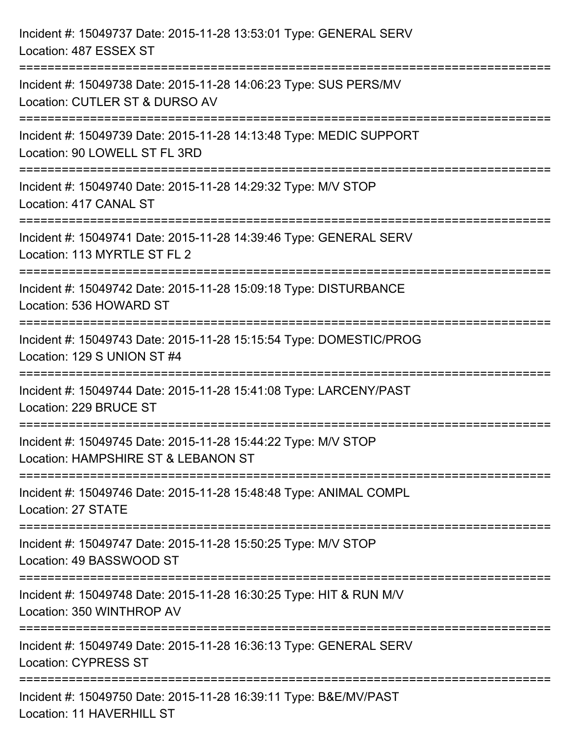| Incident #: 15049737 Date: 2015-11-28 13:53:01 Type: GENERAL SERV<br>Location: 487 ESSEX ST                                |
|----------------------------------------------------------------------------------------------------------------------------|
| Incident #: 15049738 Date: 2015-11-28 14:06:23 Type: SUS PERS/MV<br>Location: CUTLER ST & DURSO AV                         |
| Incident #: 15049739 Date: 2015-11-28 14:13:48 Type: MEDIC SUPPORT<br>Location: 90 LOWELL ST FL 3RD                        |
| ===============================<br>Incident #: 15049740 Date: 2015-11-28 14:29:32 Type: M/V STOP<br>Location: 417 CANAL ST |
| Incident #: 15049741 Date: 2015-11-28 14:39:46 Type: GENERAL SERV<br>Location: 113 MYRTLE ST FL 2                          |
| Incident #: 15049742 Date: 2015-11-28 15:09:18 Type: DISTURBANCE<br>Location: 536 HOWARD ST                                |
| Incident #: 15049743 Date: 2015-11-28 15:15:54 Type: DOMESTIC/PROG<br>Location: 129 S UNION ST #4                          |
| Incident #: 15049744 Date: 2015-11-28 15:41:08 Type: LARCENY/PAST<br>Location: 229 BRUCE ST                                |
| Incident #: 15049745 Date: 2015-11-28 15:44:22 Type: M/V STOP<br>Location: HAMPSHIRE ST & LEBANON ST                       |
| Incident #: 15049746 Date: 2015-11-28 15:48:48 Type: ANIMAL COMPL<br>Location: 27 STATE                                    |
| Incident #: 15049747 Date: 2015-11-28 15:50:25 Type: M/V STOP<br>Location: 49 BASSWOOD ST                                  |
| Incident #: 15049748 Date: 2015-11-28 16:30:25 Type: HIT & RUN M/V<br>Location: 350 WINTHROP AV                            |
| Incident #: 15049749 Date: 2015-11-28 16:36:13 Type: GENERAL SERV<br><b>Location: CYPRESS ST</b>                           |
| Incident #: 15049750 Date: 2015-11-28 16:39:11 Type: B&E/MV/PAST<br>Location: 11 HAVERHILL ST                              |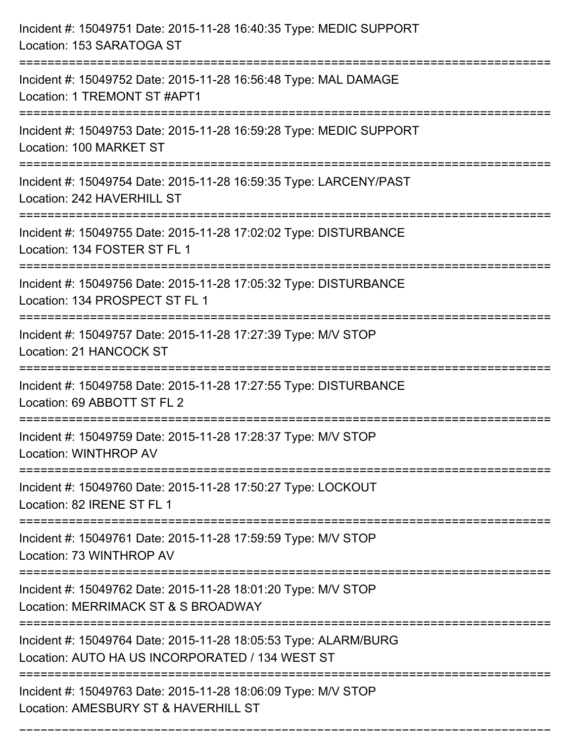| Incident #: 15049751 Date: 2015-11-28 16:40:35 Type: MEDIC SUPPORT<br>Location: 153 SARATOGA ST                                                    |
|----------------------------------------------------------------------------------------------------------------------------------------------------|
| Incident #: 15049752 Date: 2015-11-28 16:56:48 Type: MAL DAMAGE<br>Location: 1 TREMONT ST #APT1                                                    |
| Incident #: 15049753 Date: 2015-11-28 16:59:28 Type: MEDIC SUPPORT<br>Location: 100 MARKET ST                                                      |
| Incident #: 15049754 Date: 2015-11-28 16:59:35 Type: LARCENY/PAST<br>Location: 242 HAVERHILL ST                                                    |
| Incident #: 15049755 Date: 2015-11-28 17:02:02 Type: DISTURBANCE<br>Location: 134 FOSTER ST FL 1                                                   |
| Incident #: 15049756 Date: 2015-11-28 17:05:32 Type: DISTURBANCE<br>Location: 134 PROSPECT ST FL 1                                                 |
| Incident #: 15049757 Date: 2015-11-28 17:27:39 Type: M/V STOP<br>Location: 21 HANCOCK ST<br>====================================                   |
| Incident #: 15049758 Date: 2015-11-28 17:27:55 Type: DISTURBANCE<br>Location: 69 ABBOTT ST FL 2                                                    |
| Incident #: 15049759 Date: 2015-11-28 17:28:37 Type: M/V STOP<br>Location: WINTHROP AV                                                             |
| :=================<br>Incident #: 15049760 Date: 2015-11-28 17:50:27 Type: LOCKOUT<br>Location: 82 IRENE ST FL 1                                   |
| Incident #: 15049761 Date: 2015-11-28 17:59:59 Type: M/V STOP<br>Location: 73 WINTHROP AV                                                          |
| Incident #: 15049762 Date: 2015-11-28 18:01:20 Type: M/V STOP<br>Location: MERRIMACK ST & S BROADWAY                                               |
| Incident #: 15049764 Date: 2015-11-28 18:05:53 Type: ALARM/BURG<br>Location: AUTO HA US INCORPORATED / 134 WEST ST<br>---------------------------- |
| Incident #: 15049763 Date: 2015-11-28 18:06:09 Type: M/V STOP<br>Location: AMESBURY ST & HAVERHILL ST                                              |

===========================================================================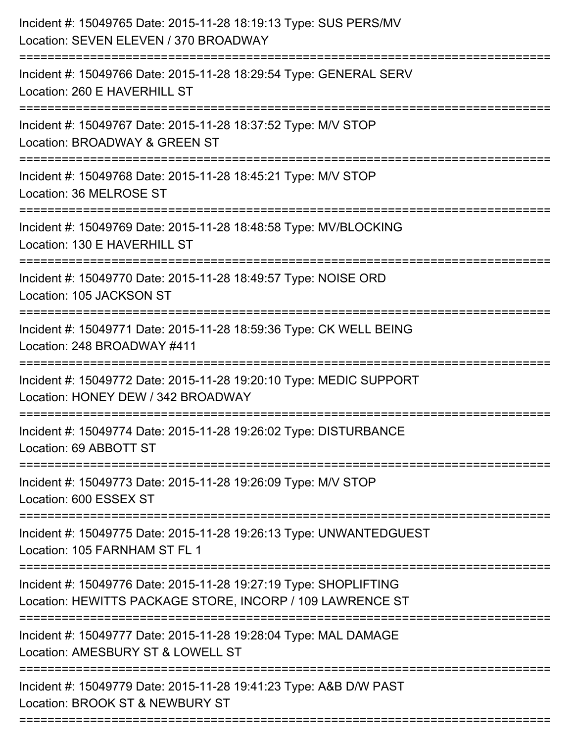| Incident #: 15049765 Date: 2015-11-28 18:19:13 Type: SUS PERS/MV<br>Location: SEVEN ELEVEN / 370 BROADWAY                         |
|-----------------------------------------------------------------------------------------------------------------------------------|
| Incident #: 15049766 Date: 2015-11-28 18:29:54 Type: GENERAL SERV<br>Location: 260 E HAVERHILL ST                                 |
| Incident #: 15049767 Date: 2015-11-28 18:37:52 Type: M/V STOP<br>Location: BROADWAY & GREEN ST<br>:=======================        |
| Incident #: 15049768 Date: 2015-11-28 18:45:21 Type: M/V STOP<br>Location: 36 MELROSE ST                                          |
| Incident #: 15049769 Date: 2015-11-28 18:48:58 Type: MV/BLOCKING<br>Location: 130 E HAVERHILL ST                                  |
| Incident #: 15049770 Date: 2015-11-28 18:49:57 Type: NOISE ORD<br>Location: 105 JACKSON ST                                        |
| Incident #: 15049771 Date: 2015-11-28 18:59:36 Type: CK WELL BEING<br>Location: 248 BROADWAY #411                                 |
| Incident #: 15049772 Date: 2015-11-28 19:20:10 Type: MEDIC SUPPORT<br>Location: HONEY DEW / 342 BROADWAY                          |
| Incident #: 15049774 Date: 2015-11-28 19:26:02 Type: DISTURBANCE<br>Location: 69 ABBOTT ST                                        |
| Incident #: 15049773 Date: 2015-11-28 19:26:09 Type: M/V STOP<br>Location: 600 ESSEX ST                                           |
| --------------------------<br>Incident #: 15049775 Date: 2015-11-28 19:26:13 Type: UNWANTEDGUEST<br>Location: 105 FARNHAM ST FL 1 |
| Incident #: 15049776 Date: 2015-11-28 19:27:19 Type: SHOPLIFTING<br>Location: HEWITTS PACKAGE STORE, INCORP / 109 LAWRENCE ST     |
| Incident #: 15049777 Date: 2015-11-28 19:28:04 Type: MAL DAMAGE<br>Location: AMESBURY ST & LOWELL ST                              |
| Incident #: 15049779 Date: 2015-11-28 19:41:23 Type: A&B D/W PAST<br>Location: BROOK ST & NEWBURY ST                              |
|                                                                                                                                   |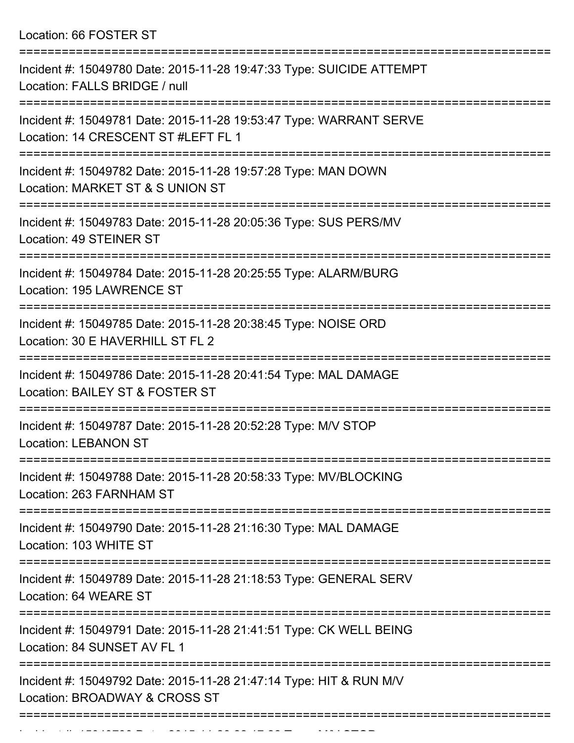Location: 66 FOSTER ST

| Incident #: 15049780 Date: 2015-11-28 19:47:33 Type: SUICIDE ATTEMPT<br>Location: FALLS BRIDGE / null     |
|-----------------------------------------------------------------------------------------------------------|
| Incident #: 15049781 Date: 2015-11-28 19:53:47 Type: WARRANT SERVE<br>Location: 14 CRESCENT ST #LEFT FL 1 |
| Incident #: 15049782 Date: 2015-11-28 19:57:28 Type: MAN DOWN<br>Location: MARKET ST & S UNION ST         |
| Incident #: 15049783 Date: 2015-11-28 20:05:36 Type: SUS PERS/MV<br>Location: 49 STEINER ST               |
| Incident #: 15049784 Date: 2015-11-28 20:25:55 Type: ALARM/BURG<br>Location: 195 LAWRENCE ST              |
| Incident #: 15049785 Date: 2015-11-28 20:38:45 Type: NOISE ORD<br>Location: 30 E HAVERHILL ST FL 2        |
| Incident #: 15049786 Date: 2015-11-28 20:41:54 Type: MAL DAMAGE<br>Location: BAILEY ST & FOSTER ST        |
| Incident #: 15049787 Date: 2015-11-28 20:52:28 Type: M/V STOP<br><b>Location: LEBANON ST</b>              |
| Incident #: 15049788 Date: 2015-11-28 20:58:33 Type: MV/BLOCKING<br>Location: 263 FARNHAM ST              |
| Incident #: 15049790 Date: 2015-11-28 21:16:30 Type: MAL DAMAGE<br>Location: 103 WHITE ST                 |
| Incident #: 15049789 Date: 2015-11-28 21:18:53 Type: GENERAL SERV<br>Location: 64 WEARE ST                |
| Incident #: 15049791 Date: 2015-11-28 21:41:51 Type: CK WELL BEING<br>Location: 84 SUNSET AV FL 1         |
| Incident #: 15049792 Date: 2015-11-28 21:47:14 Type: HIT & RUN M/V<br>Location: BROADWAY & CROSS ST       |
|                                                                                                           |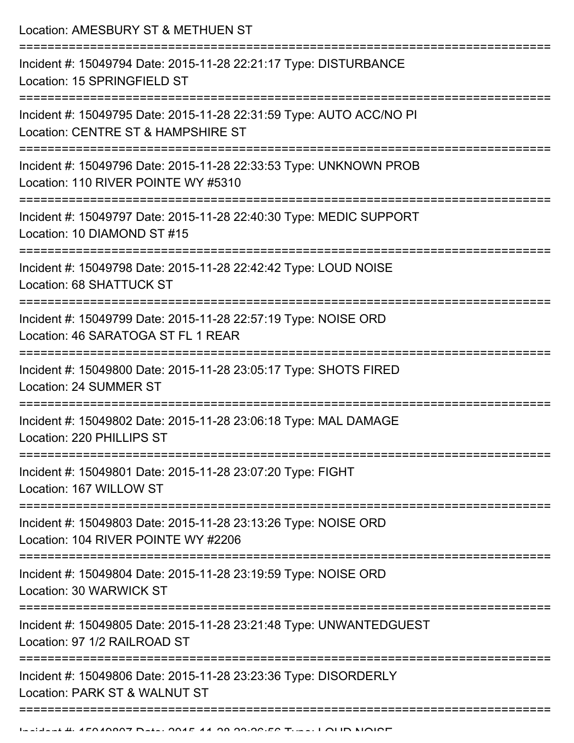Location: AMESBURY ST & METHUEN ST

| Incident #: 15049806 Date: 2015-11-28 23:23:36 Type: DISORDERLY<br>Location: PARK ST & WALNUT ST          |
|-----------------------------------------------------------------------------------------------------------|
| Incident #: 15049805 Date: 2015-11-28 23:21:48 Type: UNWANTEDGUEST<br>Location: 97 1/2 RAILROAD ST        |
| Incident #: 15049804 Date: 2015-11-28 23:19:59 Type: NOISE ORD<br>Location: 30 WARWICK ST                 |
| Incident #: 15049803 Date: 2015-11-28 23:13:26 Type: NOISE ORD<br>Location: 104 RIVER POINTE WY #2206     |
| Incident #: 15049801 Date: 2015-11-28 23:07:20 Type: FIGHT<br>Location: 167 WILLOW ST<br>===========      |
| Incident #: 15049802 Date: 2015-11-28 23:06:18 Type: MAL DAMAGE<br>Location: 220 PHILLIPS ST              |
| Incident #: 15049800 Date: 2015-11-28 23:05:17 Type: SHOTS FIRED<br><b>Location: 24 SUMMER ST</b>         |
| Incident #: 15049799 Date: 2015-11-28 22:57:19 Type: NOISE ORD<br>Location: 46 SARATOGA ST FL 1 REAR      |
| Incident #: 15049798 Date: 2015-11-28 22:42:42 Type: LOUD NOISE<br>Location: 68 SHATTUCK ST               |
| Incident #: 15049797 Date: 2015-11-28 22:40:30 Type: MEDIC SUPPORT<br>Location: 10 DIAMOND ST #15         |
| Incident #: 15049796 Date: 2015-11-28 22:33:53 Type: UNKNOWN PROB<br>Location: 110 RIVER POINTE WY #5310  |
| Incident #: 15049795 Date: 2015-11-28 22:31:59 Type: AUTO ACC/NO PI<br>Location: CENTRE ST & HAMPSHIRE ST |
| Incident #: 15049794 Date: 2015-11-28 22:21:17 Type: DISTURBANCE<br>Location: 15 SPRINGFIELD ST           |
|                                                                                                           |